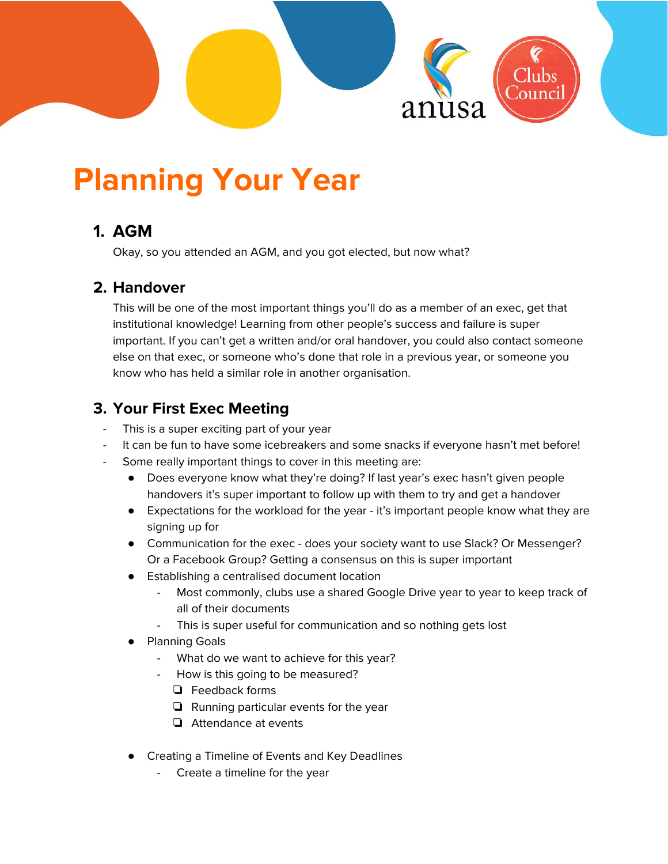

# **Planning Your Year**

# **1. AGM**

Okay, so you attended an AGM, and you got elected, but now what?

# **2. Handover**

This will be one of the most important things you'll do as a member of an exec, get that institutional knowledge! Learning from other people's success and failure is super important. If you can't get a written and/or oral handover, you could also contact someone else on that exec, or someone who's done that role in a previous year, or someone you know who has held a similar role in another organisation.

# **3. Your First Exec Meeting**

- This is a super exciting part of your year
- It can be fun to have some icebreakers and some snacks if everyone hasn't met before!
- Some really important things to cover in this meeting are:
	- Does everyone know what they're doing? If last year's exec hasn't given people handovers it's super important to follow up with them to try and get a handover
	- Expectations for the workload for the year it's important people know what they are signing up for
	- Communication for the exec does your society want to use Slack? Or Messenger? Or a Facebook Group? Getting a consensus on this is super important
	- Establishing a centralised document location
		- Most commonly, clubs use a shared Google Drive year to year to keep track of all of their documents
		- This is super useful for communication and so nothing gets lost
	- **Planning Goals** 
		- What do we want to achieve for this year?
		- How is this going to be measured?
			- ❏ Feedback forms
			- ❏ Running particular events for the year
			- ❏ Attendance at events
	- **Creating a Timeline of Events and Key Deadlines** 
		- Create a timeline for the year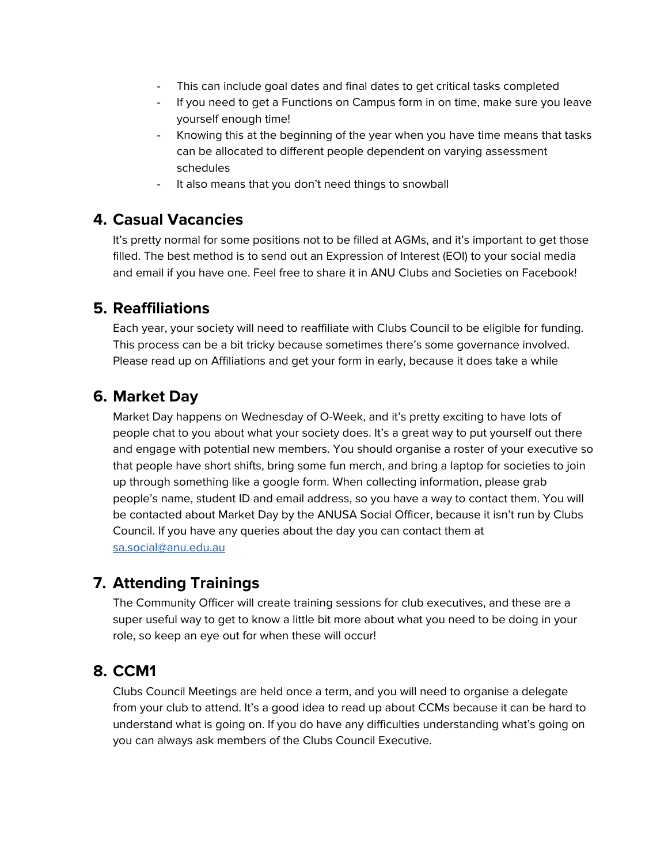- This can include goal dates and final dates to get critical tasks completed
- If you need to get a Functions on Campus form in on time, make sure you leave yourself enough time!
- Knowing this at the beginning of the year when you have time means that tasks can be allocated to different people dependent on varying assessment schedules
- It also means that you don't need things to snowball

## **4. Casual Vacancies**

It's pretty normal for some positions not to be filled at AGMs, and it's important to get those filled. The best method is to send out an Expression of Interest (EOI) to your social media and email if you have one. Feel free to share it in ANU Clubs and Societies on Facebook!

## **5. Reaffiliations**

Each year, your society will need to reaffiliate with Clubs Council to be eligible for funding. This process can be a bit tricky because sometimes there's some governance involved. Please read up on Affiliations and get your form in early, because it does take a while

# **6. Market Day**

Market Day happens on Wednesday of O-Week, and it's pretty exciting to have lots of people chat to you about what your society does. It's a great way to put yourself out there and engage with potential new members. You should organise a roster of your executive so that people have short shifts, bring some fun merch, and bring a laptop for societies to join up through something like a google form. When collecting information, please grab people's name, student ID and email address, so you have a way to contact them. You will be contacted about Market Day by the ANUSA Social Officer, because it isn't run by Clubs Council. If you have any queries about the day you can contact them at [sa.social@anu.edu.au](mailto:sa.social@anu.edu.au)

# **7. Attending Trainings**

The Community Officer will create training sessions for club executives, and these are a super useful way to get to know a little bit more about what you need to be doing in your role, so keep an eye out for when these will occur!

# **8. CCM1**

Clubs Council Meetings are held once a term, and you will need to organise a delegate from your club to attend. It's a good idea to read up about CCMs because it can be hard to understand what is going on. If you do have any difficulties understanding what's going on you can always ask members of the Clubs Council Executive.